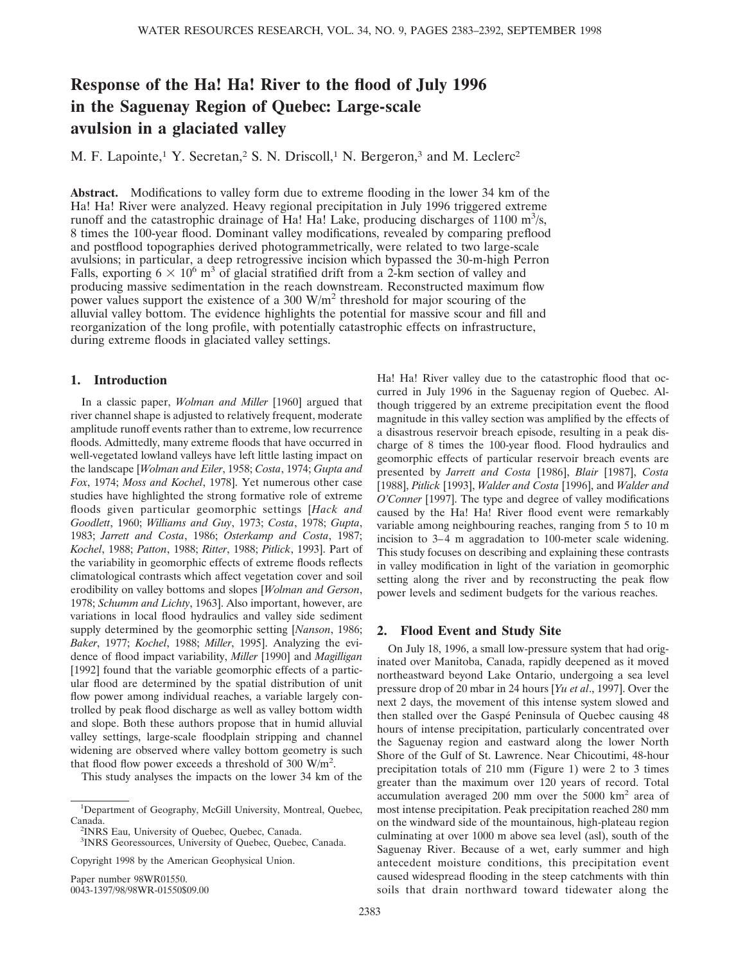# **Response of the Ha! Ha! River to the flood of July 1996 in the Saguenay Region of Quebec: Large-scale avulsion in a glaciated valley**

M. F. Lapointe,<sup>1</sup> Y. Secretan,<sup>2</sup> S. N. Driscoll,<sup>1</sup> N. Bergeron,<sup>3</sup> and M. Leclerc<sup>2</sup>

**Abstract.** Modifications to valley form due to extreme flooding in the lower 34 km of the Ha! Ha! River were analyzed. Heavy regional precipitation in July 1996 triggered extreme runoff and the catastrophic drainage of Ha! Ha! Lake, producing discharges of 1100  $\text{m}^3\text{/s}$ , 8 times the 100-year flood. Dominant valley modifications, revealed by comparing preflood and postflood topographies derived photogrammetrically, were related to two large-scale avulsions; in particular, a deep retrogressive incision which bypassed the 30-m-high Perron Falls, exporting  $6 \times 10^6$  m<sup>3</sup> of glacial stratified drift from a 2-km section of valley and producing massive sedimentation in the reach downstream. Reconstructed maximum flow power values support the existence of a 300 W/m<sup>2</sup> threshold for major scouring of the alluvial valley bottom. The evidence highlights the potential for massive scour and fill and reorganization of the long profile, with potentially catastrophic effects on infrastructure, during extreme floods in glaciated valley settings.

# **1. Introduction**

In a classic paper, *Wolman and Miller* [1960] argued that river channel shape is adjusted to relatively frequent, moderate amplitude runoff events rather than to extreme, low recurrence floods. Admittedly, many extreme floods that have occurred in well-vegetated lowland valleys have left little lasting impact on the landscape [*Wolman and Eiler*, 1958; *Costa*, 1974; *Gupta and Fox*, 1974; *Moss and Kochel*, 1978]. Yet numerous other case studies have highlighted the strong formative role of extreme floods given particular geomorphic settings [*Hack and Goodlett*, 1960; *Williams and Guy*, 1973; *Costa*, 1978; *Gupta*, 1983; *Jarrett and Costa*, 1986; *Osterkamp and Costa*, 1987; *Kochel*, 1988; *Patton*, 1988; *Ritter*, 1988; *Pitlick*, 1993]. Part of the variability in geomorphic effects of extreme floods reflects climatological contrasts which affect vegetation cover and soil erodibility on valley bottoms and slopes [*Wolman and Gerson*, 1978; *Schumm and Lichty*, 1963]. Also important, however, are variations in local flood hydraulics and valley side sediment supply determined by the geomorphic setting [*Nanson*, 1986; *Baker*, 1977; *Kochel*, 1988; *Miller*, 1995]. Analyzing the evidence of flood impact variability, *Miller* [1990] and *Magilligan* [1992] found that the variable geomorphic effects of a particular flood are determined by the spatial distribution of unit flow power among individual reaches, a variable largely controlled by peak flood discharge as well as valley bottom width and slope. Both these authors propose that in humid alluvial valley settings, large-scale floodplain stripping and channel widening are observed where valley bottom geometry is such that flood flow power exceeds a threshold of 300  $W/m^2$ .

This study analyses the impacts on the lower 34 km of the

Paper number 98WR01550. 0043-1397/98/98WR-01550\$09.00 Ha! Ha! River valley due to the catastrophic flood that occurred in July 1996 in the Saguenay region of Quebec. Although triggered by an extreme precipitation event the flood magnitude in this valley section was amplified by the effects of a disastrous reservoir breach episode, resulting in a peak discharge of 8 times the 100-year flood. Flood hydraulics and geomorphic effects of particular reservoir breach events are presented by *Jarrett and Costa* [1986], *Blair* [1987], *Costa* [1988], *Pitlick* [1993], *Walder and Costa* [1996], and *Walder and O'Conner* [1997]. The type and degree of valley modifications caused by the Ha! Ha! River flood event were remarkably variable among neighbouring reaches, ranging from 5 to 10 m incision to 3–4 m aggradation to 100-meter scale widening. This study focuses on describing and explaining these contrasts in valley modification in light of the variation in geomorphic setting along the river and by reconstructing the peak flow power levels and sediment budgets for the various reaches.

### **2. Flood Event and Study Site**

On July 18, 1996, a small low-pressure system that had originated over Manitoba, Canada, rapidly deepened as it moved northeastward beyond Lake Ontario, undergoing a sea level pressure drop of 20 mbar in 24 hours [*Yu et al*., 1997]. Over the next 2 days, the movement of this intense system slowed and then stalled over the Gaspé Peninsula of Quebec causing 48 hours of intense precipitation, particularly concentrated over the Saguenay region and eastward along the lower North Shore of the Gulf of St. Lawrence. Near Chicoutimi, 48-hour precipitation totals of 210 mm (Figure 1) were 2 to 3 times greater than the maximum over 120 years of record. Total accumulation averaged 200 mm over the  $5000 \text{ km}^2$  area of most intense precipitation. Peak precipitation reached 280 mm on the windward side of the mountainous, high-plateau region culminating at over 1000 m above sea level (asl), south of the Saguenay River. Because of a wet, early summer and high antecedent moisture conditions, this precipitation event caused widespread flooding in the steep catchments with thin soils that drain northward toward tidewater along the

<sup>&</sup>lt;sup>1</sup>Department of Geography, McGill University, Montreal, Quebec, Canada.

<sup>&</sup>lt;sup>2</sup>INRS Eau, University of Quebec, Quebec, Canada.

<sup>3</sup> INRS Georessources, University of Quebec, Quebec, Canada.

Copyright 1998 by the American Geophysical Union.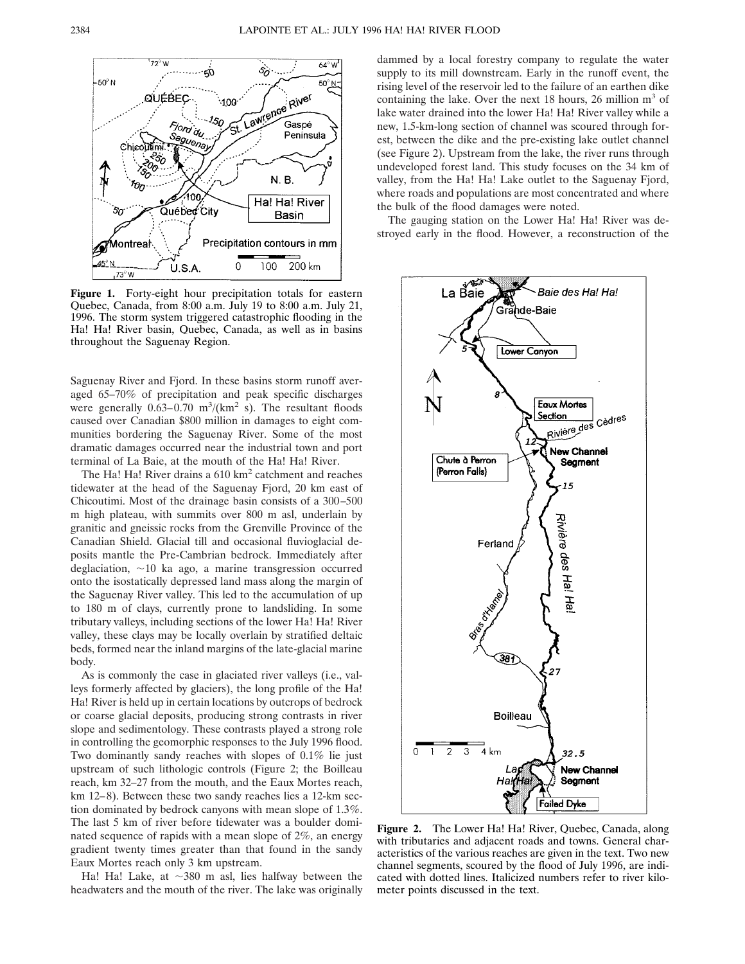

**Figure 1.** Forty-eight hour precipitation totals for eastern Quebec, Canada, from 8:00 a.m. July 19 to 8:00 a.m. July 21, 1996. The storm system triggered catastrophic flooding in the Ha! Ha! River basin, Quebec, Canada, as well as in basins throughout the Saguenay Region.

Saguenay River and Fjord. In these basins storm runoff averaged 65–70% of precipitation and peak specific discharges were generally  $0.63-0.70 \text{ m}^3/\text{(km}^2 \text{ s})$ . The resultant floods caused over Canadian \$800 million in damages to eight communities bordering the Saguenay River. Some of the most dramatic damages occurred near the industrial town and port terminal of La Baie, at the mouth of the Ha! Ha! River.

The Ha! Ha! River drains a 610 km<sup>2</sup> catchment and reaches tidewater at the head of the Saguenay Fjord, 20 km east of Chicoutimi. Most of the drainage basin consists of a 300–500 m high plateau, with summits over 800 m asl, underlain by granitic and gneissic rocks from the Grenville Province of the Canadian Shield. Glacial till and occasional fluvioglacial deposits mantle the Pre-Cambrian bedrock. Immediately after deglaciation,  $\sim$ 10 ka ago, a marine transgression occurred onto the isostatically depressed land mass along the margin of the Saguenay River valley. This led to the accumulation of up to 180 m of clays, currently prone to landsliding. In some tributary valleys, including sections of the lower Ha! Ha! River valley, these clays may be locally overlain by stratified deltaic beds, formed near the inland margins of the late-glacial marine body.

As is commonly the case in glaciated river valleys (i.e., valleys formerly affected by glaciers), the long profile of the Ha! Ha! River is held up in certain locations by outcrops of bedrock or coarse glacial deposits, producing strong contrasts in river slope and sedimentology. These contrasts played a strong role in controlling the geomorphic responses to the July 1996 flood. Two dominantly sandy reaches with slopes of 0.1% lie just upstream of such lithologic controls (Figure 2; the Boilleau reach, km 32–27 from the mouth, and the Eaux Mortes reach, km 12–8). Between these two sandy reaches lies a 12-km section dominated by bedrock canyons with mean slope of 1.3%. The last 5 km of river before tidewater was a boulder dominated sequence of rapids with a mean slope of 2%, an energy gradient twenty times greater than that found in the sandy Eaux Mortes reach only 3 km upstream.

Ha! Ha! Lake, at  $\sim$ 380 m asl, lies halfway between the headwaters and the mouth of the river. The lake was originally dammed by a local forestry company to regulate the water supply to its mill downstream. Early in the runoff event, the rising level of the reservoir led to the failure of an earthen dike containing the lake. Over the next 18 hours, 26 million  $m<sup>3</sup>$  of lake water drained into the lower Ha! Ha! River valley while a new, 1.5-km-long section of channel was scoured through forest, between the dike and the pre-existing lake outlet channel (see Figure 2). Upstream from the lake, the river runs through undeveloped forest land. This study focuses on the 34 km of valley, from the Ha! Ha! Lake outlet to the Saguenay Fjord, where roads and populations are most concentrated and where the bulk of the flood damages were noted.

The gauging station on the Lower Ha! Ha! River was destroyed early in the flood. However, a reconstruction of the



**Figure 2.** The Lower Ha! Ha! River, Quebec, Canada, along with tributaries and adjacent roads and towns. General characteristics of the various reaches are given in the text. Two new channel segments, scoured by the flood of July 1996, are indicated with dotted lines. Italicized numbers refer to river kilometer points discussed in the text.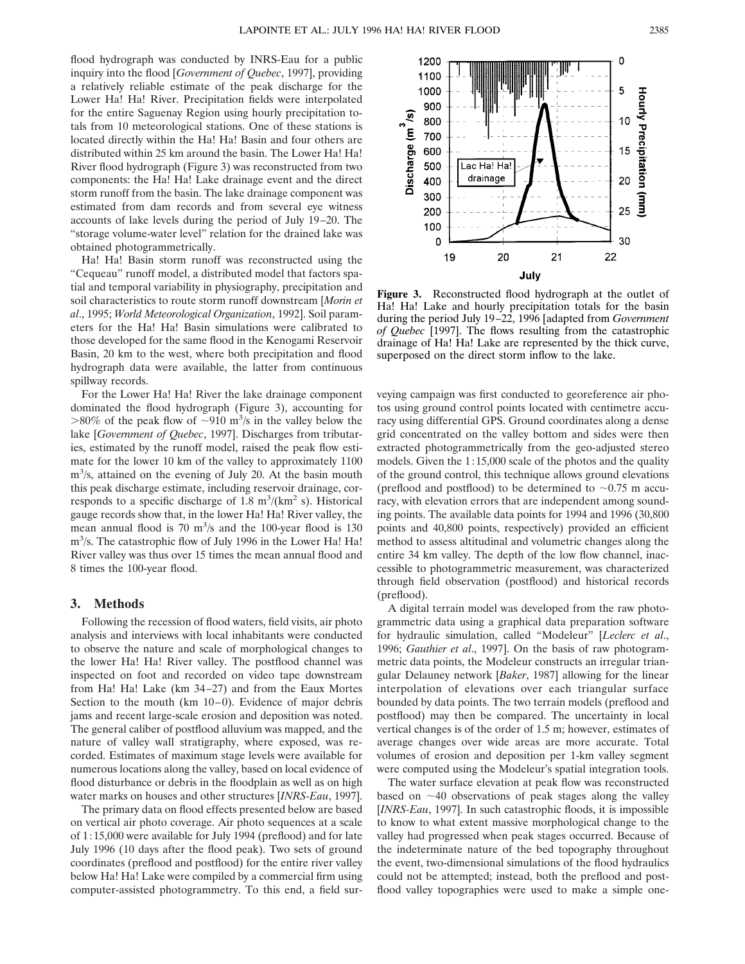flood hydrograph was conducted by INRS-Eau for a public inquiry into the flood [*Government of Quebec*, 1997], providing a relatively reliable estimate of the peak discharge for the Lower Ha! Ha! River. Precipitation fields were interpolated for the entire Saguenay Region using hourly precipitation totals from 10 meteorological stations. One of these stations is located directly within the Ha! Ha! Basin and four others are distributed within 25 km around the basin. The Lower Ha! Ha! River flood hydrograph (Figure 3) was reconstructed from two components: the Ha! Ha! Lake drainage event and the direct storm runoff from the basin. The lake drainage component was estimated from dam records and from several eye witness accounts of lake levels during the period of July 19–20. The "storage volume-water level" relation for the drained lake was obtained photogrammetrically.

Ha! Ha! Basin storm runoff was reconstructed using the "Cequeau" runoff model, a distributed model that factors spatial and temporal variability in physiography, precipitation and soil characteristics to route storm runoff downstream [*Morin et al*., 1995; *World Meteorological Organization*, 1992]. Soil parameters for the Ha! Ha! Basin simulations were calibrated to those developed for the same flood in the Kenogami Reservoir Basin, 20 km to the west, where both precipitation and flood hydrograph data were available, the latter from continuous spillway records.

For the Lower Ha! Ha! River the lake drainage component dominated the flood hydrograph (Figure 3), accounting for  $>80\%$  of the peak flow of  $\sim$ 910 m<sup>3</sup>/s in the valley below the lake [*Government of Quebec*, 1997]. Discharges from tributaries, estimated by the runoff model, raised the peak flow estimate for the lower 10 km of the valley to approximately 1100 m<sup>3</sup>/s, attained on the evening of July 20. At the basin mouth this peak discharge estimate, including reservoir drainage, corresponds to a specific discharge of  $1.8 \text{ m}^3/\text{(km}^2 \text{ s})$ . Historical gauge records show that, in the lower Ha! Ha! River valley, the mean annual flood is 70 m<sup>3</sup>/s and the 100-year flood is 130 m<sup>3</sup>/s. The catastrophic flow of July 1996 in the Lower Ha! Ha! River valley was thus over 15 times the mean annual flood and 8 times the 100-year flood.

### **3. Methods**

Following the recession of flood waters, field visits, air photo analysis and interviews with local inhabitants were conducted to observe the nature and scale of morphological changes to the lower Ha! Ha! River valley. The postflood channel was inspected on foot and recorded on video tape downstream from Ha! Ha! Lake (km 34–27) and from the Eaux Mortes Section to the mouth ( $km 10-0$ ). Evidence of major debris jams and recent large-scale erosion and deposition was noted. The general caliber of postflood alluvium was mapped, and the nature of valley wall stratigraphy, where exposed, was recorded. Estimates of maximum stage levels were available for numerous locations along the valley, based on local evidence of flood disturbance or debris in the floodplain as well as on high water marks on houses and other structures [*INRS-Eau*, 1997].

The primary data on flood effects presented below are based on vertical air photo coverage. Air photo sequences at a scale of 1;15,000 were available for July 1994 (preflood) and for late July 1996 (10 days after the flood peak). Two sets of ground coordinates (preflood and postflood) for the entire river valley below Ha! Ha! Lake were compiled by a commercial firm using computer-assisted photogrammetry. To this end, a field sur-

600 15 Lac Ha! Ha! 500 drainage 20 400  $\mathbf{u}$ 300 25 200 100 30  $\Omega$ 21 22 19 20 July **Figure 3.** Reconstructed flood hydrograph at the outlet of

Ha! Ha! Lake and hourly precipitation totals for the basin during the period July 19–22, 1996 [adapted from *Government of Quebec* [1997]. The flows resulting from the catastrophic drainage of Ha! Ha! Lake are represented by the thick curve, superposed on the direct storm inflow to the lake.

veying campaign was first conducted to georeference air photos using ground control points located with centimetre accuracy using differential GPS. Ground coordinates along a dense grid concentrated on the valley bottom and sides were then extracted photogrammetrically from the geo-adjusted stereo models. Given the 1;15,000 scale of the photos and the quality of the ground control, this technique allows ground elevations (preflood and postflood) to be determined to  $\sim 0.75$  m accuracy, with elevation errors that are independent among sounding points. The available data points for 1994 and 1996 (30,800 points and 40,800 points, respectively) provided an efficient method to assess altitudinal and volumetric changes along the entire 34 km valley. The depth of the low flow channel, inaccessible to photogrammetric measurement, was characterized through field observation (postflood) and historical records (preflood).

A digital terrain model was developed from the raw photogrammetric data using a graphical data preparation software for hydraulic simulation, called "Modeleur" [*Leclerc et al*., 1996; *Gauthier et al*., 1997]. On the basis of raw photogrammetric data points, the Modeleur constructs an irregular triangular Delauney network [*Baker*, 1987] allowing for the linear interpolation of elevations over each triangular surface bounded by data points. The two terrain models (preflood and postflood) may then be compared. The uncertainty in local vertical changes is of the order of 1.5 m; however, estimates of average changes over wide areas are more accurate. Total volumes of erosion and deposition per 1-km valley segment were computed using the Modeleur's spatial integration tools.

The water surface elevation at peak flow was reconstructed based on  $\sim$ 40 observations of peak stages along the valley [*INRS-Eau*, 1997]. In such catastrophic floods, it is impossible to know to what extent massive morphological change to the valley had progressed when peak stages occurred. Because of the indeterminate nature of the bed topography throughout the event, two-dimensional simulations of the flood hydraulics could not be attempted; instead, both the preflood and postflood valley topographies were used to make a simple one-

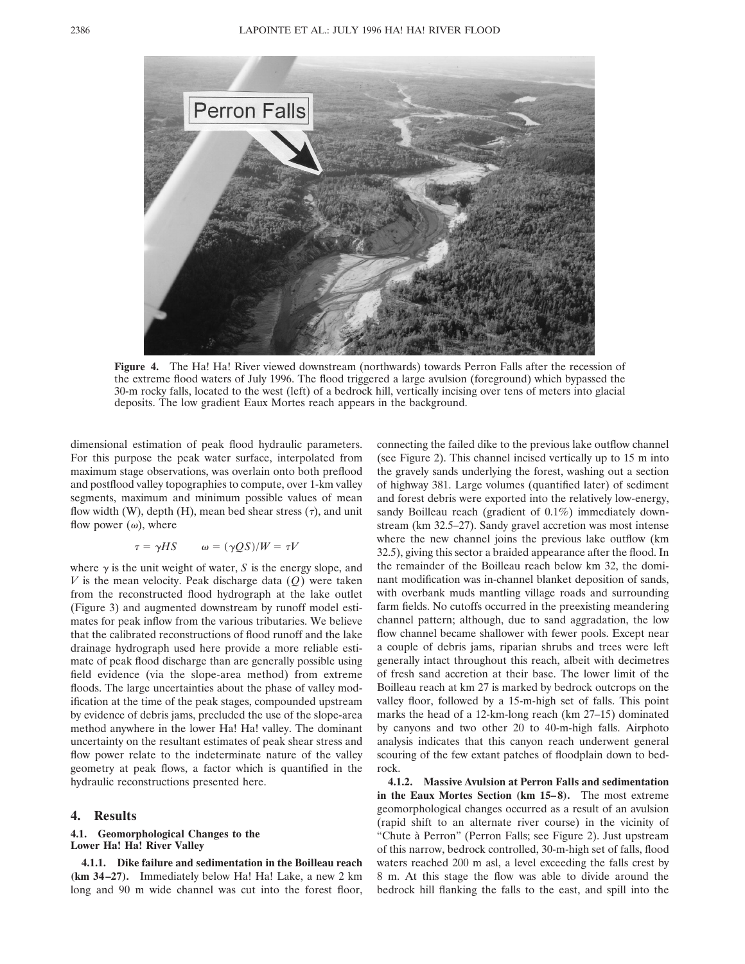

**Figure 4.** The Ha! Ha! River viewed downstream (northwards) towards Perron Falls after the recession of the extreme flood waters of July 1996. The flood triggered a large avulsion (foreground) which bypassed the 30-m rocky falls, located to the west (left) of a bedrock hill, vertically incising over tens of meters into glacial deposits. The low gradient Eaux Mortes reach appears in the background.

dimensional estimation of peak flood hydraulic parameters. For this purpose the peak water surface, interpolated from maximum stage observations, was overlain onto both preflood and postflood valley topographies to compute, over 1-km valley segments, maximum and minimum possible values of mean flow width (W), depth (H), mean bed shear stress  $(\tau)$ , and unit flow power  $(\omega)$ , where

$$
\tau = \gamma H S \qquad \omega = (\gamma Q S)/W = \tau V
$$

where  $\gamma$  is the unit weight of water, *S* is the energy slope, and *V* is the mean velocity. Peak discharge data (*Q*) were taken from the reconstructed flood hydrograph at the lake outlet (Figure 3) and augmented downstream by runoff model estimates for peak inflow from the various tributaries. We believe that the calibrated reconstructions of flood runoff and the lake drainage hydrograph used here provide a more reliable estimate of peak flood discharge than are generally possible using field evidence (via the slope-area method) from extreme floods. The large uncertainties about the phase of valley modification at the time of the peak stages, compounded upstream by evidence of debris jams, precluded the use of the slope-area method anywhere in the lower Ha! Ha! valley. The dominant uncertainty on the resultant estimates of peak shear stress and flow power relate to the indeterminate nature of the valley geometry at peak flows, a factor which is quantified in the hydraulic reconstructions presented here.

#### **4. Results**

#### **4.1. Geomorphological Changes to the Lower Ha! Ha! River Valley**

**4.1.1. Dike failure and sedimentation in the Boilleau reach (km 34–27).** Immediately below Ha! Ha! Lake, a new 2 km long and 90 m wide channel was cut into the forest floor, connecting the failed dike to the previous lake outflow channel (see Figure 2). This channel incised vertically up to 15 m into the gravely sands underlying the forest, washing out a section of highway 381. Large volumes (quantified later) of sediment and forest debris were exported into the relatively low-energy, sandy Boilleau reach (gradient of 0.1%) immediately downstream (km 32.5–27). Sandy gravel accretion was most intense where the new channel joins the previous lake outflow (km 32.5), giving this sector a braided appearance after the flood. In the remainder of the Boilleau reach below km 32, the dominant modification was in-channel blanket deposition of sands, with overbank muds mantling village roads and surrounding farm fields. No cutoffs occurred in the preexisting meandering channel pattern; although, due to sand aggradation, the low flow channel became shallower with fewer pools. Except near a couple of debris jams, riparian shrubs and trees were left generally intact throughout this reach, albeit with decimetres of fresh sand accretion at their base. The lower limit of the Boilleau reach at km 27 is marked by bedrock outcrops on the valley floor, followed by a 15-m-high set of falls. This point marks the head of a 12-km-long reach (km 27–15) dominated by canyons and two other 20 to 40-m-high falls. Airphoto analysis indicates that this canyon reach underwent general scouring of the few extant patches of floodplain down to bedrock.

**4.1.2. Massive Avulsion at Perron Falls and sedimentation in the Eaux Mortes Section (km 15–8).** The most extreme geomorphological changes occurred as a result of an avulsion (rapid shift to an alternate river course) in the vicinity of "Chute à Perron" (Perron Falls; see Figure 2). Just upstream of this narrow, bedrock controlled, 30-m-high set of falls, flood waters reached 200 m asl, a level exceeding the falls crest by 8 m. At this stage the flow was able to divide around the bedrock hill flanking the falls to the east, and spill into the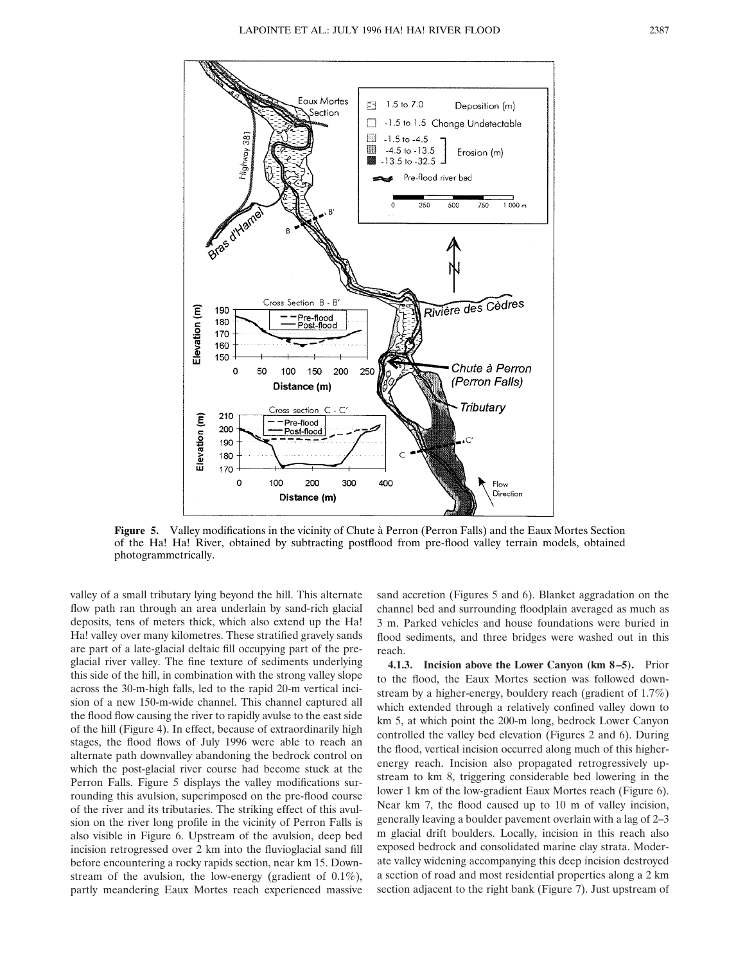

**Figure 5.** Valley modifications in the vicinity of Chute à Perron (Perron Falls) and the Eaux Mortes Section of the Ha! Ha! River, obtained by subtracting postflood from pre-flood valley terrain models, obtained photogrammetrically.

valley of a small tributary lying beyond the hill. This alternate flow path ran through an area underlain by sand-rich glacial deposits, tens of meters thick, which also extend up the Ha! Ha! valley over many kilometres. These stratified gravely sands are part of a late-glacial deltaic fill occupying part of the preglacial river valley. The fine texture of sediments underlying this side of the hill, in combination with the strong valley slope across the 30-m-high falls, led to the rapid 20-m vertical incision of a new 150-m-wide channel. This channel captured all the flood flow causing the river to rapidly avulse to the east side of the hill (Figure 4). In effect, because of extraordinarily high stages, the flood flows of July 1996 were able to reach an alternate path downvalley abandoning the bedrock control on which the post-glacial river course had become stuck at the Perron Falls. Figure 5 displays the valley modifications surrounding this avulsion, superimposed on the pre-flood course of the river and its tributaries. The striking effect of this avulsion on the river long profile in the vicinity of Perron Falls is also visible in Figure 6. Upstream of the avulsion, deep bed incision retrogressed over 2 km into the fluvioglacial sand fill before encountering a rocky rapids section, near km 15. Downstream of the avulsion, the low-energy (gradient of 0.1%), partly meandering Eaux Mortes reach experienced massive

sand accretion (Figures 5 and 6). Blanket aggradation on the channel bed and surrounding floodplain averaged as much as 3 m. Parked vehicles and house foundations were buried in flood sediments, and three bridges were washed out in this reach.

**4.1.3. Incision above the Lower Canyon (km 8–5).** Prior to the flood, the Eaux Mortes section was followed downstream by a higher-energy, bouldery reach (gradient of 1.7%) which extended through a relatively confined valley down to km 5, at which point the 200-m long, bedrock Lower Canyon controlled the valley bed elevation (Figures 2 and 6). During the flood, vertical incision occurred along much of this higherenergy reach. Incision also propagated retrogressively upstream to km 8, triggering considerable bed lowering in the lower 1 km of the low-gradient Eaux Mortes reach (Figure 6). Near km 7, the flood caused up to 10 m of valley incision, generally leaving a boulder pavement overlain with a lag of 2–3 m glacial drift boulders. Locally, incision in this reach also exposed bedrock and consolidated marine clay strata. Moderate valley widening accompanying this deep incision destroyed a section of road and most residential properties along a 2 km section adjacent to the right bank (Figure 7). Just upstream of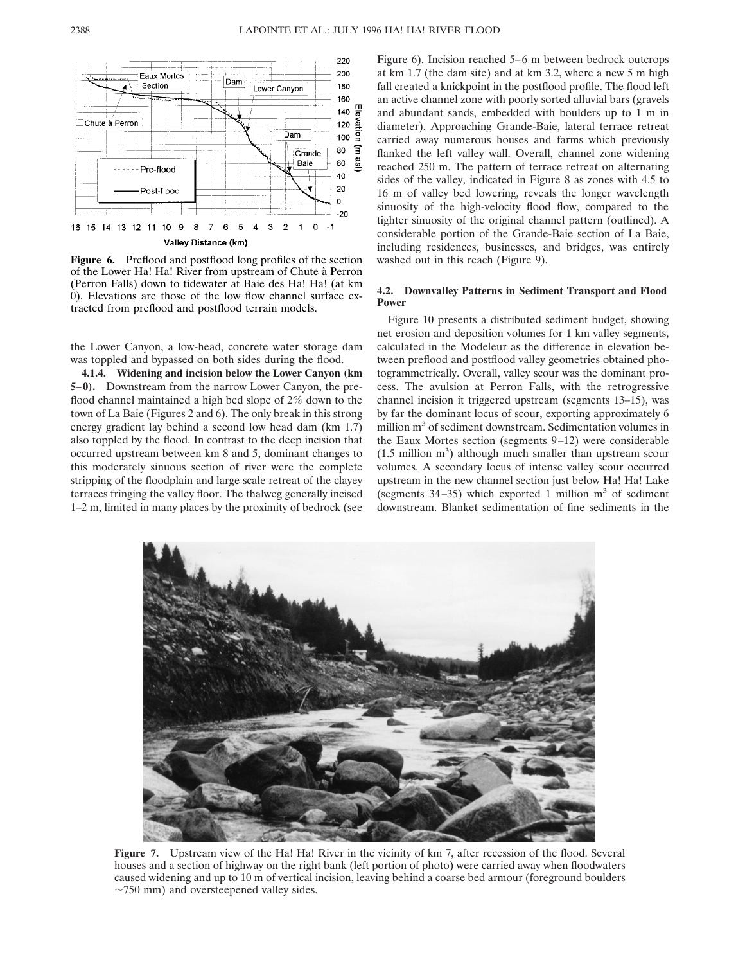

**Figure 6.** Preflood and postflood long profiles of the section of the Lower Ha! Ha! River from upstream of Chute à Perron (Perron Falls) down to tidewater at Baie des Ha! Ha! (at km 0). Elevations are those of the low flow channel surface extracted from preflood and postflood terrain models.

the Lower Canyon, a low-head, concrete water storage dam was toppled and bypassed on both sides during the flood.

**4.1.4. Widening and incision below the Lower Canyon (km 5–0).** Downstream from the narrow Lower Canyon, the preflood channel maintained a high bed slope of 2% down to the town of La Baie (Figures 2 and 6). The only break in this strong energy gradient lay behind a second low head dam (km 1.7) also toppled by the flood. In contrast to the deep incision that occurred upstream between km 8 and 5, dominant changes to this moderately sinuous section of river were the complete stripping of the floodplain and large scale retreat of the clayey terraces fringing the valley floor. The thalweg generally incised 1–2 m, limited in many places by the proximity of bedrock (see

Figure 6). Incision reached 5–6 m between bedrock outcrops at km 1.7 (the dam site) and at km 3.2, where a new 5 m high fall created a knickpoint in the postflood profile. The flood left an active channel zone with poorly sorted alluvial bars (gravels and abundant sands, embedded with boulders up to 1 m in diameter). Approaching Grande-Baie, lateral terrace retreat carried away numerous houses and farms which previously flanked the left valley wall. Overall, channel zone widening reached 250 m. The pattern of terrace retreat on alternating sides of the valley, indicated in Figure 8 as zones with 4.5 to 16 m of valley bed lowering, reveals the longer wavelength sinuosity of the high-velocity flood flow, compared to the tighter sinuosity of the original channel pattern (outlined). A considerable portion of the Grande-Baie section of La Baie, including residences, businesses, and bridges, was entirely washed out in this reach (Figure 9).

#### **4.2. Downvalley Patterns in Sediment Transport and Flood Power**

Figure 10 presents a distributed sediment budget, showing net erosion and deposition volumes for 1 km valley segments, calculated in the Modeleur as the difference in elevation between preflood and postflood valley geometries obtained photogrammetrically. Overall, valley scour was the dominant process. The avulsion at Perron Falls, with the retrogressive channel incision it triggered upstream (segments 13–15), was by far the dominant locus of scour, exporting approximately 6 million m<sup>3</sup> of sediment downstream. Sedimentation volumes in the Eaux Mortes section (segments 9–12) were considerable  $(1.5 \text{ million m}^3)$  although much smaller than upstream scour volumes. A secondary locus of intense valley scour occurred upstream in the new channel section just below Ha! Ha! Lake (segments  $34-35$ ) which exported 1 million m<sup>3</sup> of sediment downstream. Blanket sedimentation of fine sediments in the



**Figure 7.** Upstream view of the Ha! Ha! River in the vicinity of km 7, after recession of the flood. Several houses and a section of highway on the right bank (left portion of photo) were carried away when floodwaters caused widening and up to 10 m of vertical incision, leaving behind a coarse bed armour (foreground boulders  $\sim$ 750 mm) and oversteepened valley sides.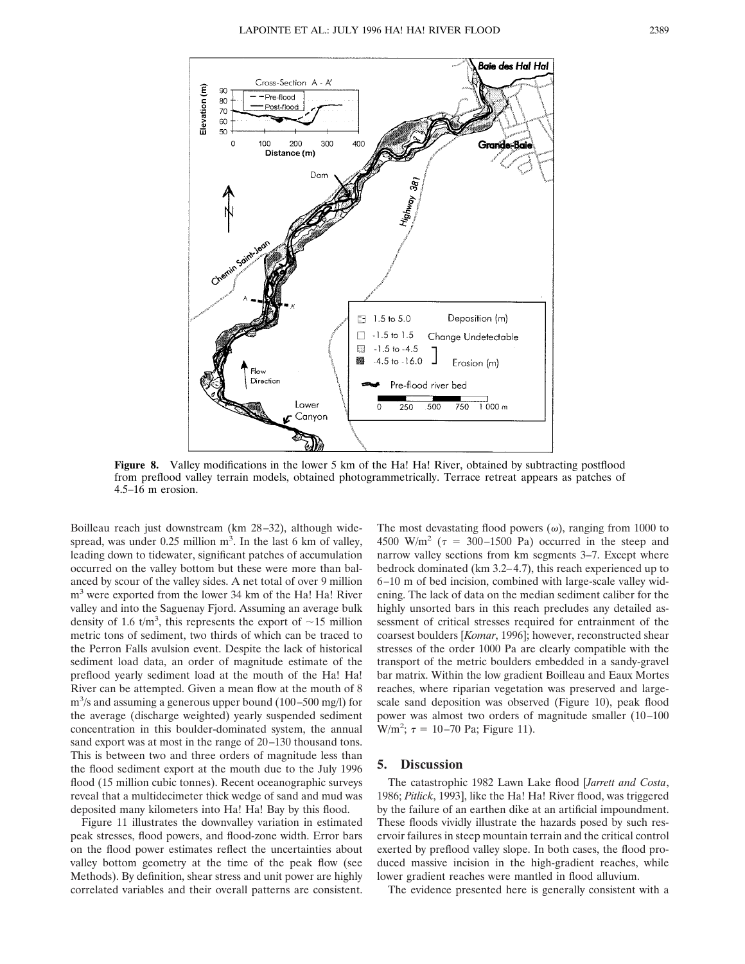

**Figure 8.** Valley modifications in the lower 5 km of the Ha! Ha! River, obtained by subtracting postflood from preflood valley terrain models, obtained photogrammetrically. Terrace retreat appears as patches of 4.5–16 m erosion.

Boilleau reach just downstream (km 28–32), although widespread, was under  $0.25$  million  $m<sup>3</sup>$ . In the last 6 km of valley, leading down to tidewater, significant patches of accumulation occurred on the valley bottom but these were more than balanced by scour of the valley sides. A net total of over 9 million m3 were exported from the lower 34 km of the Ha! Ha! River valley and into the Saguenay Fjord. Assuming an average bulk density of 1.6  $t/m<sup>3</sup>$ , this represents the export of  $\sim$ 15 million metric tons of sediment, two thirds of which can be traced to the Perron Falls avulsion event. Despite the lack of historical sediment load data, an order of magnitude estimate of the preflood yearly sediment load at the mouth of the Ha! Ha! River can be attempted. Given a mean flow at the mouth of 8 m3 /s and assuming a generous upper bound (100–500 mg/l) for the average (discharge weighted) yearly suspended sediment concentration in this boulder-dominated system, the annual sand export was at most in the range of 20–130 thousand tons. This is between two and three orders of magnitude less than the flood sediment export at the mouth due to the July 1996 flood (15 million cubic tonnes). Recent oceanographic surveys reveal that a multidecimeter thick wedge of sand and mud was deposited many kilometers into Ha! Ha! Bay by this flood.

Figure 11 illustrates the downvalley variation in estimated peak stresses, flood powers, and flood-zone width. Error bars on the flood power estimates reflect the uncertainties about valley bottom geometry at the time of the peak flow (see Methods). By definition, shear stress and unit power are highly correlated variables and their overall patterns are consistent.

The most devastating flood powers  $(\omega)$ , ranging from 1000 to 4500 W/m<sup>2</sup> ( $\tau$  = 300–1500 Pa) occurred in the steep and narrow valley sections from km segments 3–7. Except where bedrock dominated (km 3.2–4.7), this reach experienced up to 6–10 m of bed incision, combined with large-scale valley widening. The lack of data on the median sediment caliber for the highly unsorted bars in this reach precludes any detailed assessment of critical stresses required for entrainment of the coarsest boulders [*Komar*, 1996]; however, reconstructed shear stresses of the order 1000 Pa are clearly compatible with the transport of the metric boulders embedded in a sandy-gravel bar matrix. Within the low gradient Boilleau and Eaux Mortes reaches, where riparian vegetation was preserved and largescale sand deposition was observed (Figure 10), peak flood power was almost two orders of magnitude smaller (10–100  $W/m^2$ ;  $\tau = 10-70$  Pa; Figure 11).

# **5. Discussion**

The catastrophic 1982 Lawn Lake flood [*Jarrett and Costa*, 1986; *Pitlick*, 1993], like the Ha! Ha! River flood, was triggered by the failure of an earthen dike at an artificial impoundment. These floods vividly illustrate the hazards posed by such reservoir failures in steep mountain terrain and the critical control exerted by preflood valley slope. In both cases, the flood produced massive incision in the high-gradient reaches, while lower gradient reaches were mantled in flood alluvium.

The evidence presented here is generally consistent with a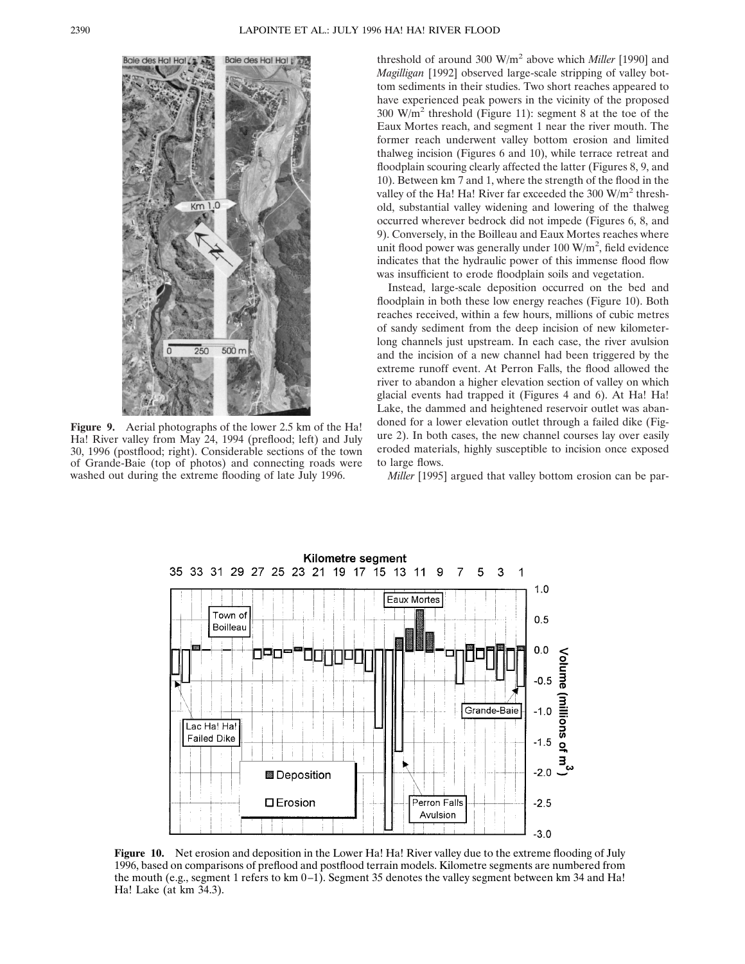

**Figure 9.** Aerial photographs of the lower 2.5 km of the Ha! Ha! River valley from May 24, 1994 (preflood; left) and July 30, 1996 (postflood; right). Considerable sections of the town of Grande-Baie (top of photos) and connecting roads were washed out during the extreme flooding of late July 1996.

threshold of around 300 W/m<sup>2</sup> above which *Miller* [1990] and *Magilligan* [1992] observed large-scale stripping of valley bottom sediments in their studies. Two short reaches appeared to have experienced peak powers in the vicinity of the proposed 300 W/m<sup>2</sup> threshold (Figure 11): segment 8 at the toe of the Eaux Mortes reach, and segment 1 near the river mouth. The former reach underwent valley bottom erosion and limited thalweg incision (Figures 6 and 10), while terrace retreat and floodplain scouring clearly affected the latter (Figures 8, 9, and 10). Between km 7 and 1, where the strength of the flood in the valley of the Ha! Ha! River far exceeded the  $300 \text{ W/m}^2$  threshold, substantial valley widening and lowering of the thalweg occurred wherever bedrock did not impede (Figures 6, 8, and 9). Conversely, in the Boilleau and Eaux Mortes reaches where unit flood power was generally under  $100 \text{ W/m}^2$ , field evidence indicates that the hydraulic power of this immense flood flow was insufficient to erode floodplain soils and vegetation.

Instead, large-scale deposition occurred on the bed and floodplain in both these low energy reaches (Figure 10). Both reaches received, within a few hours, millions of cubic metres of sandy sediment from the deep incision of new kilometerlong channels just upstream. In each case, the river avulsion and the incision of a new channel had been triggered by the extreme runoff event. At Perron Falls, the flood allowed the river to abandon a higher elevation section of valley on which glacial events had trapped it (Figures 4 and 6). At Ha! Ha! Lake, the dammed and heightened reservoir outlet was abandoned for a lower elevation outlet through a failed dike (Figure 2). In both cases, the new channel courses lay over easily eroded materials, highly susceptible to incision once exposed to large flows.

*Miller* [1995] argued that valley bottom erosion can be par-



**Figure 10.** Net erosion and deposition in the Lower Ha! Ha! River valley due to the extreme flooding of July 1996, based on comparisons of preflood and postflood terrain models. Kilometre segments are numbered from the mouth (e.g., segment 1 refers to km 0–1). Segment 35 denotes the valley segment between km 34 and Ha! Ha! Lake (at km 34.3).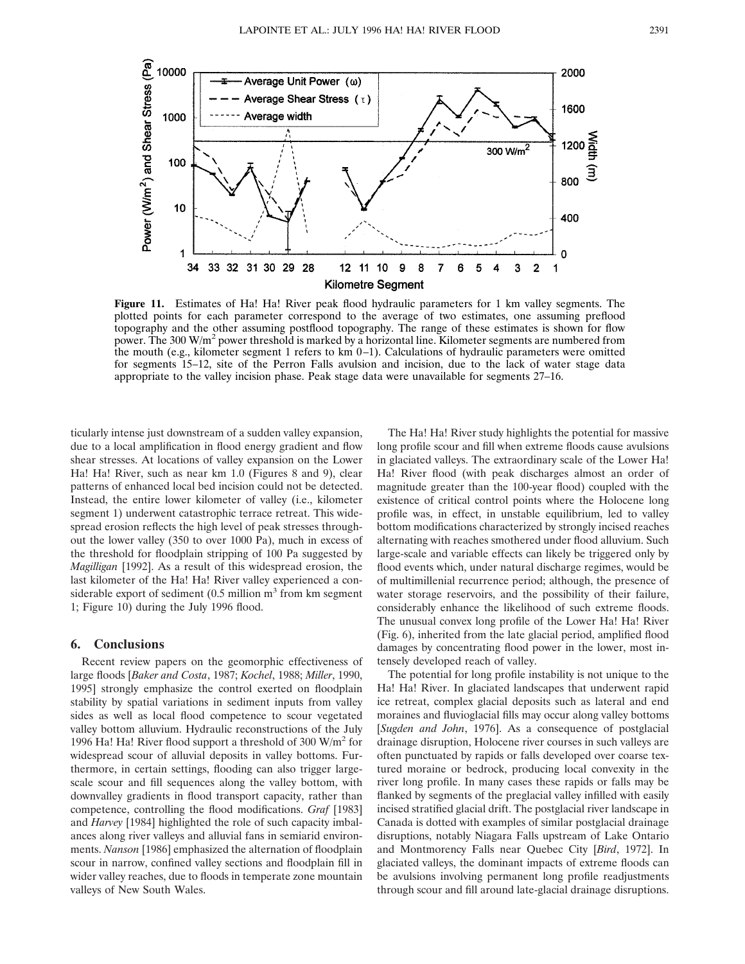

**Figure 11.** Estimates of Ha! Ha! River peak flood hydraulic parameters for 1 km valley segments. The plotted points for each parameter correspond to the average of two estimates, one assuming preflood topography and the other assuming postflood topography. The range of these estimates is shown for flow power. The 300 W/m<sup>2</sup> power threshold is marked by a horizontal line. Kilometer segments are numbered from the mouth (e.g., kilometer segment 1 refers to km 0–1). Calculations of hydraulic parameters were omitted for segments 15–12, site of the Perron Falls avulsion and incision, due to the lack of water stage data appropriate to the valley incision phase. Peak stage data were unavailable for segments 27–16.

ticularly intense just downstream of a sudden valley expansion, due to a local amplification in flood energy gradient and flow shear stresses. At locations of valley expansion on the Lower Ha! Ha! River, such as near km 1.0 (Figures 8 and 9), clear patterns of enhanced local bed incision could not be detected. Instead, the entire lower kilometer of valley (i.e., kilometer segment 1) underwent catastrophic terrace retreat. This widespread erosion reflects the high level of peak stresses throughout the lower valley (350 to over 1000 Pa), much in excess of the threshold for floodplain stripping of 100 Pa suggested by *Magilligan* [1992]. As a result of this widespread erosion, the last kilometer of the Ha! Ha! River valley experienced a considerable export of sediment  $(0.5 \text{ million m}^3 \text{ from km segment})$ 1; Figure 10) during the July 1996 flood.

# **6. Conclusions**

Recent review papers on the geomorphic effectiveness of large floods [*Baker and Costa*, 1987; *Kochel*, 1988; *Miller*, 1990, 1995] strongly emphasize the control exerted on floodplain stability by spatial variations in sediment inputs from valley sides as well as local flood competence to scour vegetated valley bottom alluvium. Hydraulic reconstructions of the July 1996 Ha! Ha! River flood support a threshold of 300  $W/m^2$  for widespread scour of alluvial deposits in valley bottoms. Furthermore, in certain settings, flooding can also trigger largescale scour and fill sequences along the valley bottom, with downvalley gradients in flood transport capacity, rather than competence, controlling the flood modifications. *Graf* [1983] and *Harvey* [1984] highlighted the role of such capacity imbalances along river valleys and alluvial fans in semiarid environments. *Nanson* [1986] emphasized the alternation of floodplain scour in narrow, confined valley sections and floodplain fill in wider valley reaches, due to floods in temperate zone mountain valleys of New South Wales.

The Ha! Ha! River study highlights the potential for massive long profile scour and fill when extreme floods cause avulsions in glaciated valleys. The extraordinary scale of the Lower Ha! Ha! River flood (with peak discharges almost an order of magnitude greater than the 100-year flood) coupled with the existence of critical control points where the Holocene long profile was, in effect, in unstable equilibrium, led to valley bottom modifications characterized by strongly incised reaches alternating with reaches smothered under flood alluvium. Such large-scale and variable effects can likely be triggered only by flood events which, under natural discharge regimes, would be of multimillenial recurrence period; although, the presence of water storage reservoirs, and the possibility of their failure, considerably enhance the likelihood of such extreme floods. The unusual convex long profile of the Lower Ha! Ha! River (Fig. 6), inherited from the late glacial period, amplified flood damages by concentrating flood power in the lower, most intensely developed reach of valley.

The potential for long profile instability is not unique to the Ha! Ha! River. In glaciated landscapes that underwent rapid ice retreat, complex glacial deposits such as lateral and end moraines and fluvioglacial fills may occur along valley bottoms [*Sugden and John*, 1976]. As a consequence of postglacial drainage disruption, Holocene river courses in such valleys are often punctuated by rapids or falls developed over coarse textured moraine or bedrock, producing local convexity in the river long profile. In many cases these rapids or falls may be flanked by segments of the preglacial valley infilled with easily incised stratified glacial drift. The postglacial river landscape in Canada is dotted with examples of similar postglacial drainage disruptions, notably Niagara Falls upstream of Lake Ontario and Montmorency Falls near Quebec City [*Bird*, 1972]. In glaciated valleys, the dominant impacts of extreme floods can be avulsions involving permanent long profile readjustments through scour and fill around late-glacial drainage disruptions.